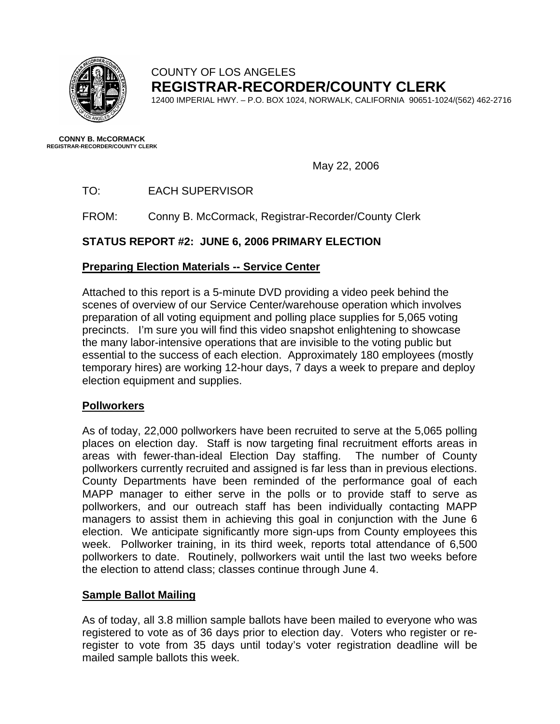

# COUNTY OF LOS ANGELES **REGISTRAR-RECORDER/COUNTY CLERK**

12400 IMPERIAL HWY. – P.O. BOX 1024, NORWALK, CALIFORNIA 90651-1024/(562) 462-2716

**CONNY B. McCORMACK REGISTRAR-RECORDER/COUNTY CLERK** 

May 22, 2006

TO: EACH SUPERVISOR

FROM: Conny B. McCormack, Registrar-Recorder/County Clerk

# **STATUS REPORT #2: JUNE 6, 2006 PRIMARY ELECTION**

# **Preparing Election Materials -- Service Center**

Attached to this report is a 5-minute DVD providing a video peek behind the scenes of overview of our Service Center/warehouse operation which involves preparation of all voting equipment and polling place supplies for 5,065 voting precincts. I'm sure you will find this video snapshot enlightening to showcase the many labor-intensive operations that are invisible to the voting public but essential to the success of each election. Approximately 180 employees (mostly temporary hires) are working 12-hour days, 7 days a week to prepare and deploy election equipment and supplies.

## **Pollworkers**

As of today, 22,000 pollworkers have been recruited to serve at the 5,065 polling places on election day. Staff is now targeting final recruitment efforts areas in areas with fewer-than-ideal Election Day staffing. The number of County pollworkers currently recruited and assigned is far less than in previous elections. County Departments have been reminded of the performance goal of each MAPP manager to either serve in the polls or to provide staff to serve as pollworkers, and our outreach staff has been individually contacting MAPP managers to assist them in achieving this goal in conjunction with the June 6 election. We anticipate significantly more sign-ups from County employees this week. Pollworker training, in its third week, reports total attendance of 6,500 pollworkers to date. Routinely, pollworkers wait until the last two weeks before the election to attend class; classes continue through June 4.

## **Sample Ballot Mailing**

As of today, all 3.8 million sample ballots have been mailed to everyone who was registered to vote as of 36 days prior to election day. Voters who register or reregister to vote from 35 days until today's voter registration deadline will be mailed sample ballots this week.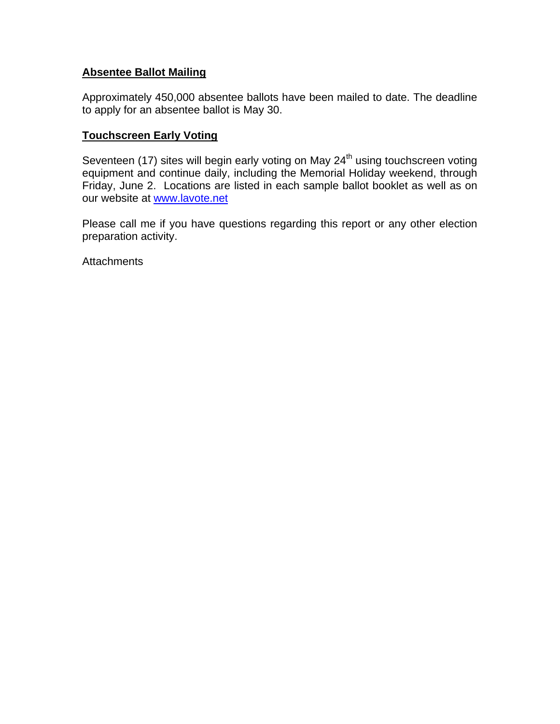## **Absentee Ballot Mailing**

Approximately 450,000 absentee ballots have been mailed to date. The deadline to apply for an absentee ballot is May 30.

## **Touchscreen Early Voting**

Seventeen (17) sites will begin early voting on May 24<sup>th</sup> using touchscreen voting equipment and continue daily, including the Memorial Holiday weekend, through Friday, June 2. Locations are listed in each sample ballot booklet as well as on our website at [www.lavote.net](http://www.lavote.net/)

Please call me if you have questions regarding this report or any other election preparation activity.

**Attachments**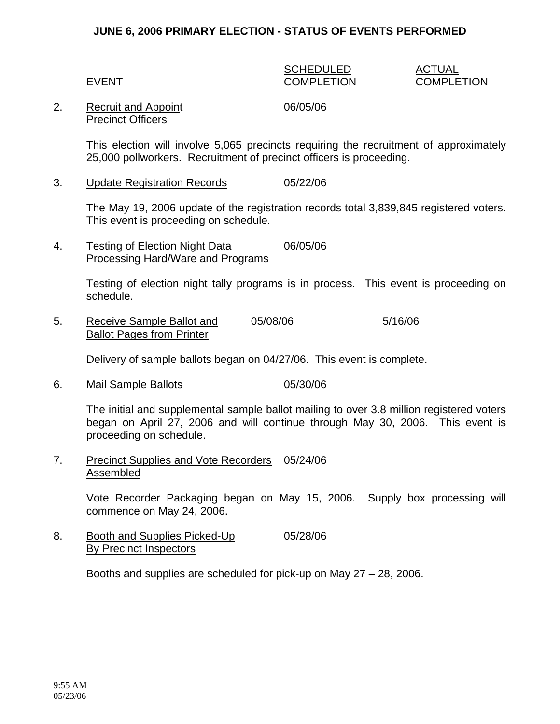### **JUNE 6, 2006 PRIMARY ELECTION - STATUS OF EVENTS PERFORMED**

#### SCHEDULED ACTUAL EVENT COMPLETION COMPLETION

#### 2. Recruit and Appoint 06/05/06 Precinct Officers

This election will involve 5,065 precincts requiring the recruitment of approximately 25,000 pollworkers. Recruitment of precinct officers is proceeding.

3. Update Registration Records 05/22/06

The May 19, 2006 update of the registration records total 3,839,845 registered voters. This event is proceeding on schedule.

4. Testing of Election Night Data 06/05/06 Processing Hard/Ware and Programs

> Testing of election night tally programs is in process. This event is proceeding on schedule.

5. Receive Sample Ballot and 05/08/06 5/16/06 Ballot Pages from Printer

Delivery of sample ballots began on 04/27/06. This event is complete.

6. Mail Sample Ballots 05/30/06

The initial and supplemental sample ballot mailing to over 3.8 million registered voters began on April 27, 2006 and will continue through May 30, 2006. This event is proceeding on schedule.

7. Precinct Supplies and Vote Recorders 05/24/06 Assembled

> Vote Recorder Packaging began on May 15, 2006. Supply box processing will commence on May 24, 2006.

8. Booth and Supplies Picked-Up 05/28/06 By Precinct Inspectors

Booths and supplies are scheduled for pick-up on May 27 – 28, 2006.